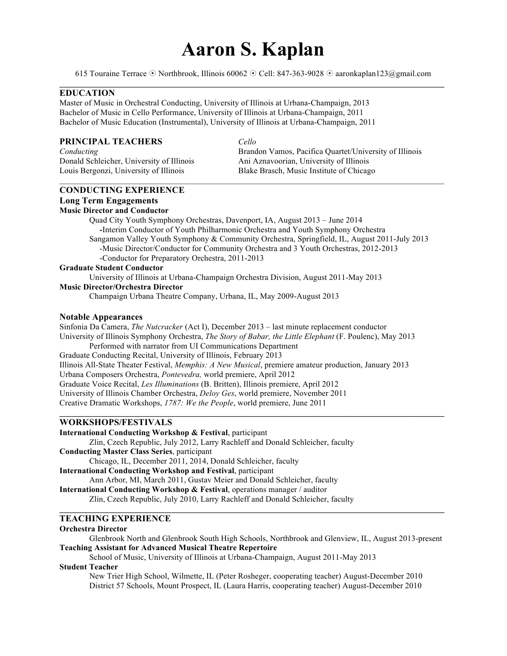# **Aaron S. Kaplan**

615 Touraine Terrace  $\odot$  Northbrook, Illinois 60062  $\odot$  Cell: 847-363-9028  $\odot$  aaronkaplan123@gmail.com **\_\_\_\_\_\_\_\_\_\_\_\_\_\_\_\_\_\_\_\_\_\_\_\_\_\_\_\_\_\_\_\_\_\_\_\_\_\_\_\_\_\_\_\_\_\_\_\_\_\_\_\_\_\_\_\_\_\_\_\_\_\_\_\_\_\_\_\_\_\_\_\_\_\_\_\_\_\_\_\_\_\_\_\_\_\_\_\_\_\_\_\_\_**

# **EDUCATION**

Master of Music in Orchestral Conducting, University of Illinois at Urbana-Champaign, 2013 Bachelor of Music in Cello Performance, University of Illinois at Urbana-Champaign, 2011 Bachelor of Music Education (Instrumental), University of Illinois at Urbana-Champaign, 2011

# **PRINCIPAL TEACHERS** *Cello*

Donald Schleicher, University of Illinois Ani Aznavoorian, University of Illinois

**Conducting Brandon Vamos, Pacifica Quartet/University of Illinois** Louis Bergonzi, University of Illinois Blake Brasch, Music Institute of Chicago  $\_$  , and the state of the state of the state of the state of the state of the state of the state of the state of the state of the state of the state of the state of the state of the state of the state of the state of the

#### **CONDUCTING EXPERIENCE**

## **Long Term Engagements**

**Music Director and Conductor**

Quad City Youth Symphony Orchestras, Davenport, IA, August 2013 – June 2014  **-**Interim Conductor of Youth Philharmonic Orchestra and Youth Symphony Orchestra Sangamon Valley Youth Symphony & Community Orchestra, Springfield, IL, August 2011-July 2013 -Music Director/Conductor for Community Orchestra and 3 Youth Orchestras, 2012-2013 -Conductor for Preparatory Orchestra, 2011-2013

#### **Graduate Student Conductor**

University of Illinois at Urbana-Champaign Orchestra Division, August 2011-May 2013

# **Music Director/Orchestra Director**

Champaign Urbana Theatre Company, Urbana, IL, May 2009-August 2013

#### **Notable Appearances**

Sinfonia Da Camera, *The Nutcracker* (Act I), December 2013 – last minute replacement conductor University of Illinois Symphony Orchestra, *The Story of Babar, the Little Elephant* (F. Poulenc), May 2013 Performed with narrator from UI Communications Department Graduate Conducting Recital, University of Illinois, February 2013 Illinois All-State Theater Festival, *Memphis: A New Musical*, premiere amateur production, January 2013 Urbana Composers Orchestra, *Pontevedra,* world premiere, April 2012

 $\mathcal{L} = \{ \mathcal{L} \mathcal{L} \mathcal{L} \mathcal{L} \mathcal{L} \mathcal{L} \mathcal{L} \mathcal{L} \mathcal{L} \mathcal{L} \mathcal{L} \mathcal{L} \mathcal{L} \mathcal{L} \mathcal{L} \mathcal{L} \mathcal{L} \mathcal{L} \mathcal{L} \mathcal{L} \mathcal{L} \mathcal{L} \mathcal{L} \mathcal{L} \mathcal{L} \mathcal{L} \mathcal{L} \mathcal{L} \mathcal{L} \mathcal{L} \mathcal{L} \mathcal{L} \mathcal{L} \mathcal{L} \mathcal{L} \$ 

Graduate Voice Recital, *Les Illuminations* (B. Britten), Illinois premiere, April 2012

University of Illinois Chamber Orchestra, *Deloy Ges*, world premiere, November 2011

Creative Dramatic Workshops, *1787: We the People*, world premiere, June 2011

#### **WORKSHOPS/FESTIVALS**

#### **International Conducting Workshop & Festival**, participant

Zlin, Czech Republic, July 2012, Larry Rachleff and Donald Schleicher, faculty **Conducting Master Class Series**, participant

Chicago, IL, December 2011, 2014, Donald Schleicher, faculty

## **International Conducting Workshop and Festival**, participant

Ann Arbor, MI, March 2011, Gustav Meier and Donald Schleicher, faculty

**International Conducting Workshop & Festival**, operations manager / auditor

Zlin, Czech Republic, July 2010, Larry Rachleff and Donald Schleicher, faculty

# **TEACHING EXPERIENCE**

#### **Orchestra Director**

Glenbrook North and Glenbrook South High Schools, Northbrook and Glenview, IL, August 2013-present **Teaching Assistant for Advanced Musical Theatre Repertoire**

**\_\_\_\_\_\_\_\_\_\_\_\_\_\_\_\_\_\_\_\_\_\_\_\_\_\_\_\_\_\_\_\_\_\_\_\_\_\_\_\_\_\_\_\_\_\_\_\_\_\_\_\_\_\_\_\_\_\_\_\_\_\_\_\_\_\_\_\_\_\_\_\_\_\_\_\_\_\_\_\_\_\_\_\_\_\_\_\_\_\_\_\_\_**

School of Music, University of Illinois at Urbana-Champaign, August 2011-May 2013

#### **Student Teacher**

New Trier High School, Wilmette, IL (Peter Rosheger, cooperating teacher) August-December 2010 District 57 Schools, Mount Prospect, IL (Laura Harris, cooperating teacher) August-December 2010